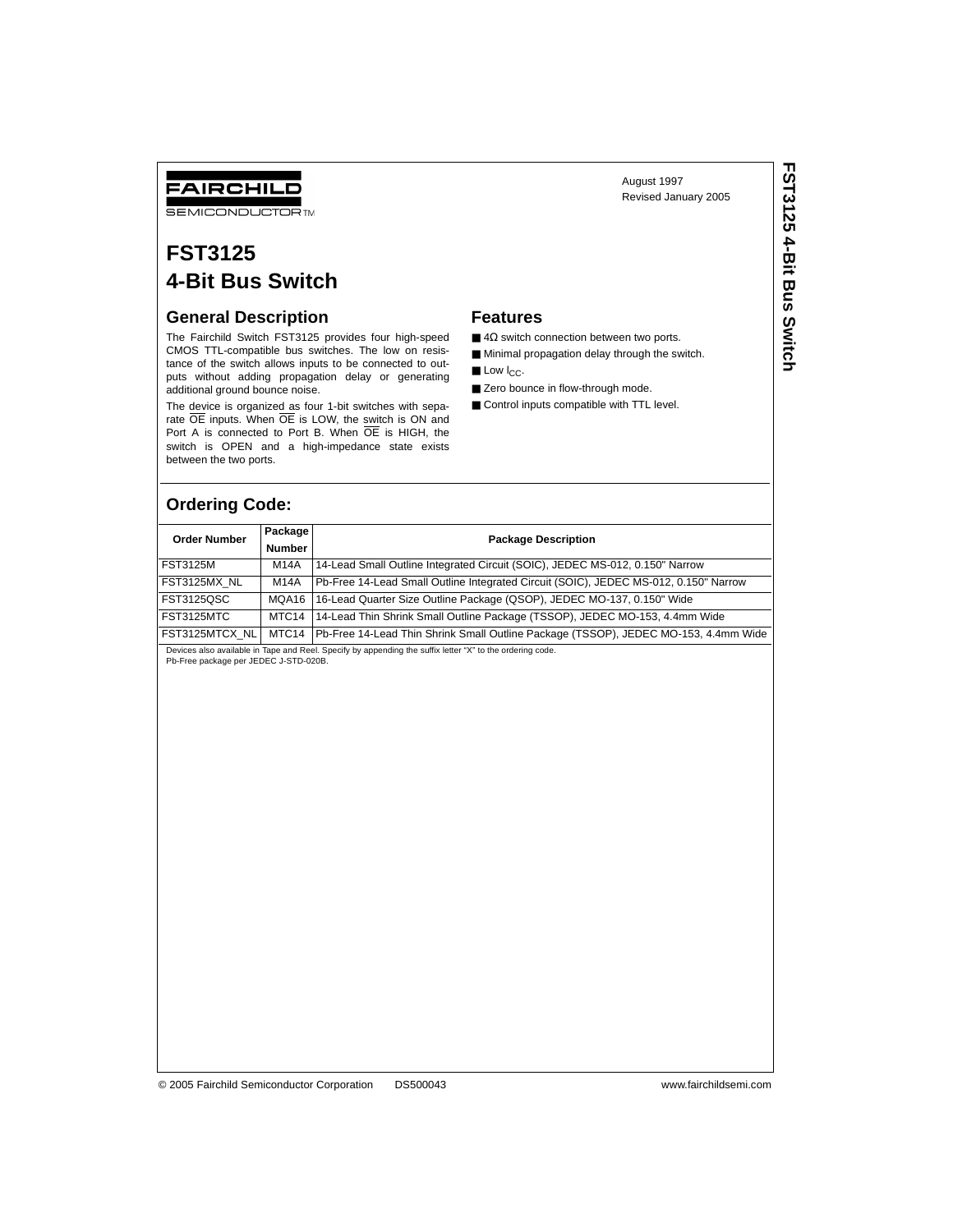## FAIRCHILD

**SEMICONDUCTOR TM** 

## **FST3125 4-Bit Bus Switch**

#### **General Description**

The Fairchild Switch FST3125 provides four high-speed CMOS TTL-compatible bus switches. The low on resistance of the switch allows inputs to be connected to outputs without adding propagation delay or generating additional ground bounce noise.

The device is organized as four 1-bit switches with separate OE inputs. When OE is LOW, the switch is ON and Port A is connected to Port B. When OE is HIGH, the switch is OPEN and a high-impedance state exists between the two ports.

#### **Features**

 $\blacksquare$  4 $\Omega$  switch connection between two ports.

August 1997 Revised January 2005

■ Minimal propagation delay through the switch.

- $\blacksquare$  Low  $I_{CC}$ .
- Zero bounce in flow-through mode.
- Control inputs compatible with TTL level.

#### **Ordering Code:**

|  | ealures |
|--|---------|
|  |         |

- 
- 
- 

| <b>Order Number</b> | Package<br><b>Number</b> | <b>Package Description</b>                                                           |
|---------------------|--------------------------|--------------------------------------------------------------------------------------|
| <b>FST3125M</b>     | M14A                     | 14-Lead Small Outline Integrated Circuit (SOIC), JEDEC MS-012, 0.150" Narrow         |
| FST3125MX_NL        | M14A                     | Pb-Free 14-Lead Small Outline Integrated Circuit (SOIC), JEDEC MS-012, 0.150" Narrow |
| FST3125QSC          | MQA16                    | 16-Lead Quarter Size Outline Package (QSOP), JEDEC MO-137, 0.150" Wide               |
| FST3125MTC          | MTC14                    | 14-Lead Thin Shrink Small Outline Package (TSSOP), JEDEC MO-153, 4.4mm Wide          |
| FST3125MTCX_NL      | MTC14                    | Pb-Free 14-Lead Thin Shrink Small Outline Package (TSSOP), JEDEC MO-153, 4.4mm Wide  |
|                     |                          |                                                                                      |
|                     |                          |                                                                                      |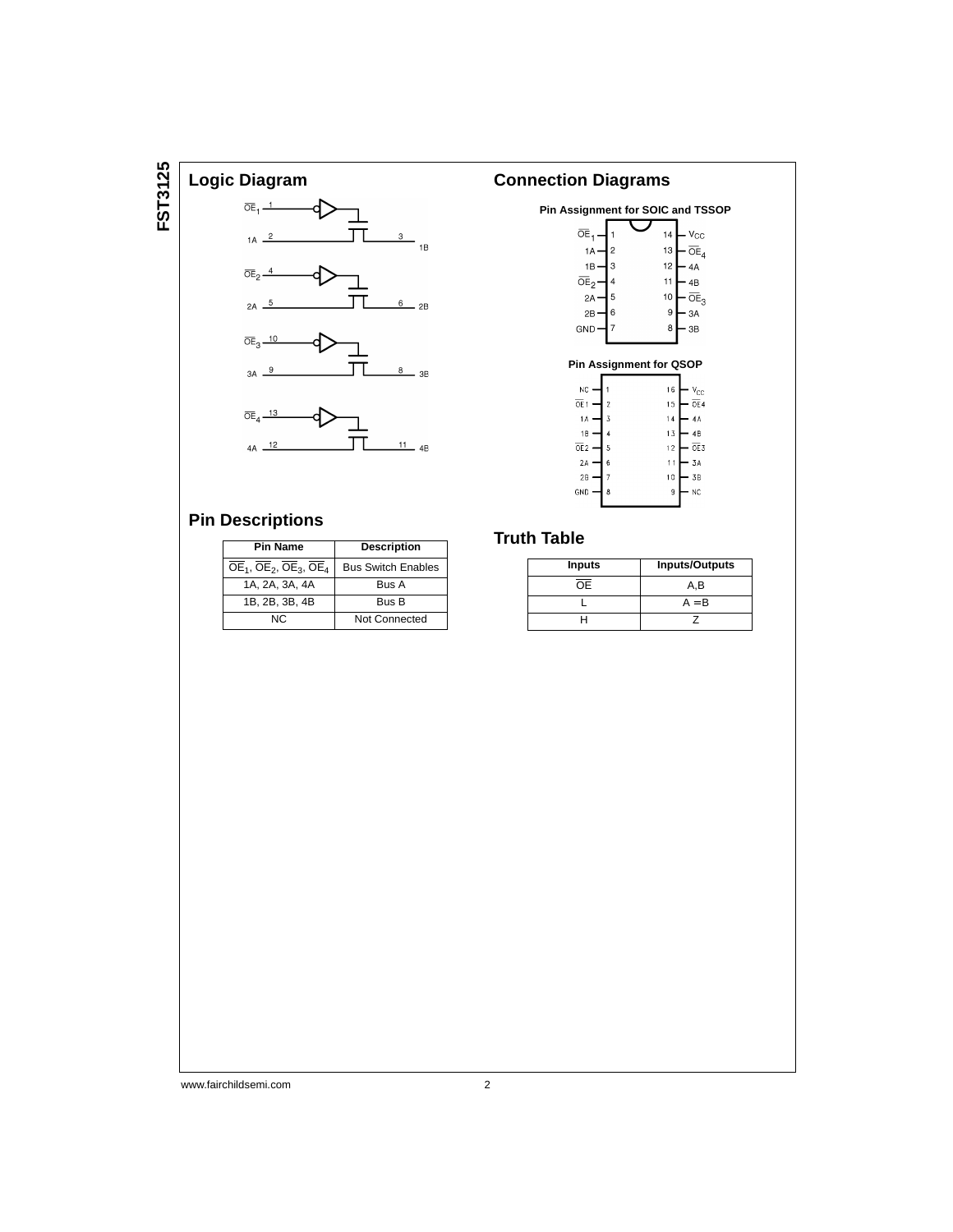# FST3125 **FST3125**



#### **Connection Diagrams Pin Assignment for SOIC and TSSOP**  $14 - V_{\rm CC}$  $\overline{OE}_1$  $13 - \overline{OE}_4$  $1A \overline{c}$  $1B 12 - 4A$  $\overline{3}$  $\overline{OE}_2$  $\ddot{11}$  $-4B$  $10<sup>1</sup>$  $-\overline{\circ}E_3$  $2A -$ 5  $2B$  $\boldsymbol{9}$  $-3A$ **GND**  $-3B$  $\bf8$ **Pin Assignment for QSOP**  $\frac{NC}{\pi}$  $16 - y_{\rm CC}$

| $-12$<br>OE1    |   |    | 15 $-$ 0E4 |
|-----------------|---|----|------------|
| 1 A             | 3 | 14 | - 4A       |
| 1B              |   | 13 | 4B         |
| OE <sub>2</sub> | 5 | 12 | OE3        |
| 2A              | 6 | 11 | - 3A       |
| 2B              |   | 10 | - 3B       |
| GND             | 8 | g  | NC         |
|                 |   |    |            |

### **Pin Descriptions**

| <b>Pin Name</b>               | <b>Description</b>        |  |  |
|-------------------------------|---------------------------|--|--|
| $OE1$ , $OE2$ , $OE3$ , $OE4$ | <b>Bus Switch Enables</b> |  |  |
| 1A, 2A, 3A, 4A                | <b>Bus A</b>              |  |  |
| 1B, 2B, 3B, 4B                | Bus B                     |  |  |
| NC.                           | Not Connected             |  |  |

### **Truth Table**

| <b>Inputs</b> | <b>Inputs/Outputs</b> |
|---------------|-----------------------|
| OЕ            | A.B                   |
|               | $A = B$               |
|               |                       |

#### www.fairchildsemi.com 2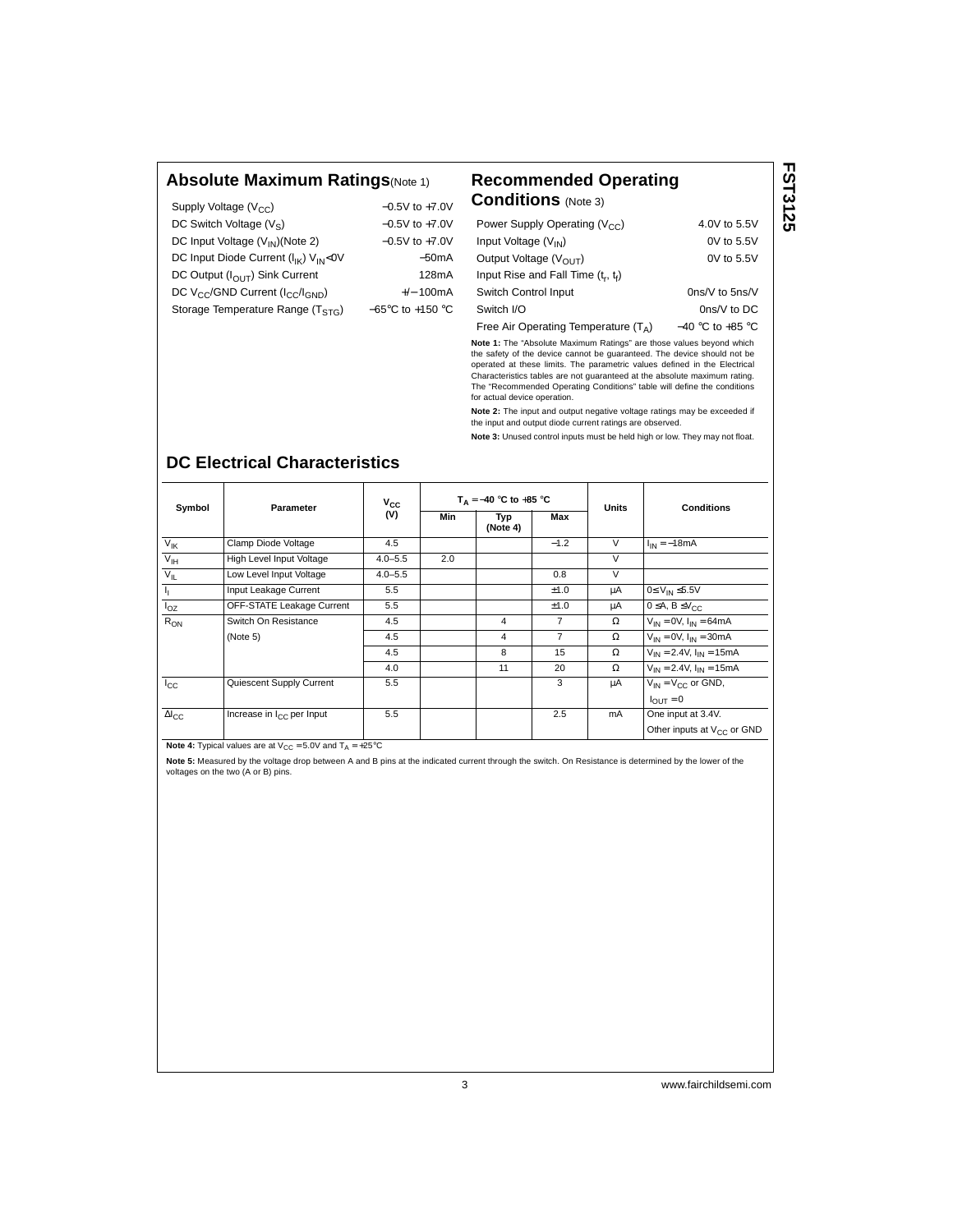#### **Absolute Maximum Ratings**(Note 1) **Recommended Operating**

| Supply Voltage $(V_{CC})$                                            | $-0.5V$ to $+7.0V$                   |
|----------------------------------------------------------------------|--------------------------------------|
| DC Switch Voltage $(V_S)$                                            | $-0.5V$ to $+7.0V$                   |
| DC Input Voltage (V <sub>IN</sub> )(Note 2)                          | $-0.5V$ to $+7.0V$                   |
| DC Input Diode Current (I <sub>IK</sub> ) V <sub>IN</sub> <0V        | $-50mA$                              |
| DC Output $(I_{\bigcap I}$ Sink Current                              | 128mA                                |
| DC V <sub>CC</sub> /GND Current (I <sub>CC</sub> /I <sub>GND</sub> ) | $+/- 100mA$                          |
| Storage Temperature Range (TSTG)                                     | $-65^{\circ}$ C to +150 $^{\circ}$ C |
|                                                                      |                                      |

# **Conditions** (Note 3)

| Power Supply Operating ( $V_{CC}$ )    | 4.0V to 5.5V         |
|----------------------------------------|----------------------|
| Input Voltage $(V_{IN})$               | $0V$ to $5.5V$       |
| Output Voltage $(V_{OUT})$             | $0V$ to $5.5V$       |
| Input Rise and Fall Time $(t_r, t_f)$  |                      |
| Switch Control Input                   | $0ns/V$ to $5ns/V$   |
| Switch I/O                             | $0ns/V$ to DC        |
| Free Air Operating Temperature $(T_A)$ | $-40$ °C to $+85$ °C |

**Note 1:** The "Absolute Maximum Ratings" are those values beyond which the safety of the device cannot be guaranteed. The device should not be operated at these limits. The parametric values defined in the Electrical Characteristics tables are not guaranteed at the absolute maximum rating. The "Recommended Operating Conditions" table will define the conditions for actual device operation.

**Note 2:** The input and output negative voltage ratings may be exceeded if the input and output diode current ratings are observed.

**Note 3:** Unused control inputs must be held high or low. They may not float.

| Symbol                    | Parameter                             | $v_{\rm cc}$ |     | $T_A = -40$ °C to +85 °C |        | <b>Units</b> | <b>Conditions</b>                      |
|---------------------------|---------------------------------------|--------------|-----|--------------------------|--------|--------------|----------------------------------------|
|                           |                                       | (V)          | Min | Typ<br>(Note 4)          |        |              |                                        |
| $V_{\text{IK}}$           | Clamp Diode Voltage                   | 4.5          |     |                          | $-1.2$ | $\vee$       | $I_{IN} = -18mA$                       |
| V <sub>IH</sub>           | High Level Input Voltage              | $4.0 - 5.5$  | 2.0 |                          |        | $\vee$       |                                        |
| $V_{IL}$                  | Low Level Input Voltage               | $4.0 - 5.5$  |     |                          | 0.8    | $\vee$       |                                        |
| $\mathbf{I}_{\mathbf{I}}$ | Input Leakage Current                 | 5.5          |     |                          | ±1.0   | μA           | $0 \leq V_{IN} \leq 5.5V$              |
| $I_{OZ}$                  | OFF-STATE Leakage Current             | 5.5          |     |                          | ±1.0   | μA           | $0 \leq A, B \leq V_{CC}$              |
| $R_{ON}$                  | Switch On Resistance                  | 4.5          |     | 4                        | 7      | Ω            | $V_{IN} = 0V$ , $I_{IN} = 64mA$        |
|                           | (Note 5)                              | 4.5          |     | 4                        | 7      | $\Omega$     | $V_{IN} = 0V$ , $I_{IN} = 30mA$        |
|                           |                                       | 4.5          |     | 8                        | 15     | Ω            | $V_{IN} = 2.4V$ , $I_{IN} = 15mA$      |
|                           |                                       | 4.0          |     | 11                       | 20     | Ω            | $V_{IN} = 2.4 V$ , $I_{IN} = 15 mA$    |
| $I_{\rm CC}$              | Quiescent Supply Current              | 5.5          |     |                          | 3      | μA           | $V_{IN} = V_{CC}$ or GND,              |
|                           |                                       |              |     |                          |        |              | $I_{\text{OUT}} = 0$                   |
| $\Delta I_{\rm CC}$       | Increase in I <sub>CC</sub> per Input | 5.5          |     |                          | 2.5    | <b>mA</b>    | One input at 3.4V.                     |
|                           |                                       |              |     |                          |        |              | Other inputs at V <sub>CC</sub> or GND |

### **DC Electrical Characteristics**

**Note 4:** Typical values are at  $V_{CC} = 5.0V$  and  $T_A = +25°C$ 

**Note 5:** Measured by the voltage drop between A and B pins at the indicated current through the switch. On Resistance is determined by the lower of the voltages on the two (A or B) pins.

**FST3125 FST3125**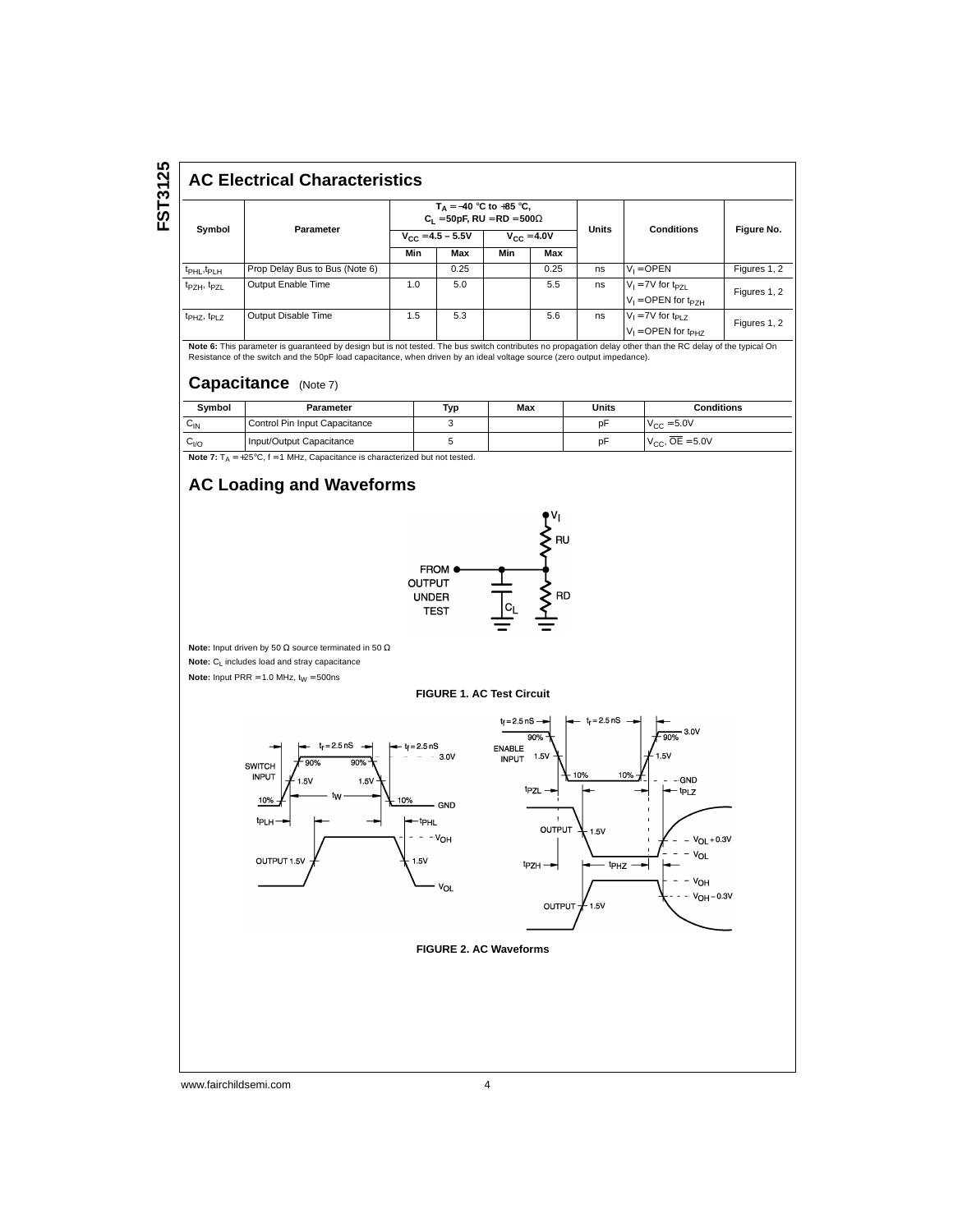FST3125 **FST3125**

#### **AC Electrical Characteristics**

|                                     | Parameter                      | $T_A = -40$ °C to +85 °C,<br>$C_1 = 50pF$ , RU = RD = 500 $\Omega$ |      |                 |      | <b>Units</b> | <b>Conditions</b>                                             |              |
|-------------------------------------|--------------------------------|--------------------------------------------------------------------|------|-----------------|------|--------------|---------------------------------------------------------------|--------------|
| Symbol                              |                                | $V_{CC} = 4.5 - 5.5V$                                              |      | $V_{CC} = 4.0V$ |      |              |                                                               | Figure No.   |
|                                     |                                | Min                                                                | Max  | Min             | Max  |              |                                                               |              |
| t <sub>PHL</sub> , t <sub>PLH</sub> | Prop Delay Bus to Bus (Note 6) |                                                                    | 0.25 |                 | 0.25 | ns           | $V_1 = \text{OPEN}$                                           | Figures 1, 2 |
| t <sub>PZH</sub> , t <sub>PZL</sub> | Output Enable Time             | 1.0                                                                | 5.0  |                 | 5.5  | ns           | $V_1 = 7V$ for t <sub>PZL</sub><br>$V_1 =$ OPEN for $t_{PZH}$ | Figures 1, 2 |
| t <sub>PHZ</sub> , t <sub>PLZ</sub> | Output Disable Time            | 1.5                                                                | 5.3  |                 | 5.6  | ns           | $V_1 = 7V$ for t <sub>PLZ</sub><br>$V_1 =$ OPEN for $t_{PHZ}$ | Figures 1, 2 |

**Note 6:** This parameter is guaranteed by design but is not tested. The bus switch contributes no propagation delay other than the RC delay of the typical On Resistance of the switch and the 50pF load capacitance, when driven by an ideal voltage source (zero output impedance).

#### **Capacitance** (Note 7)

| Symbol                                                                                          | Parameter                     | Тур | Max | Units | <b>Conditions</b> |  |  |
|-------------------------------------------------------------------------------------------------|-------------------------------|-----|-----|-------|-------------------|--|--|
| $C_{\text{IN}}$                                                                                 | Control Pin Input Capacitance |     |     | рF    | $V_{C} = 5.0V$    |  |  |
| $V_{C.C.}$ , $OE = 5.0V$<br>Input/Output Capacitance<br>pF<br>$C_{VQ}$                          |                               |     |     |       |                   |  |  |
| <b>Note 7:</b> $T_A = +25^{\circ}C$ , $f = 1$ MHz, Capacitance is characterized but not tested. |                               |     |     |       |                   |  |  |

**AC Loading and Waveforms**



www.fairchildsemi.com 4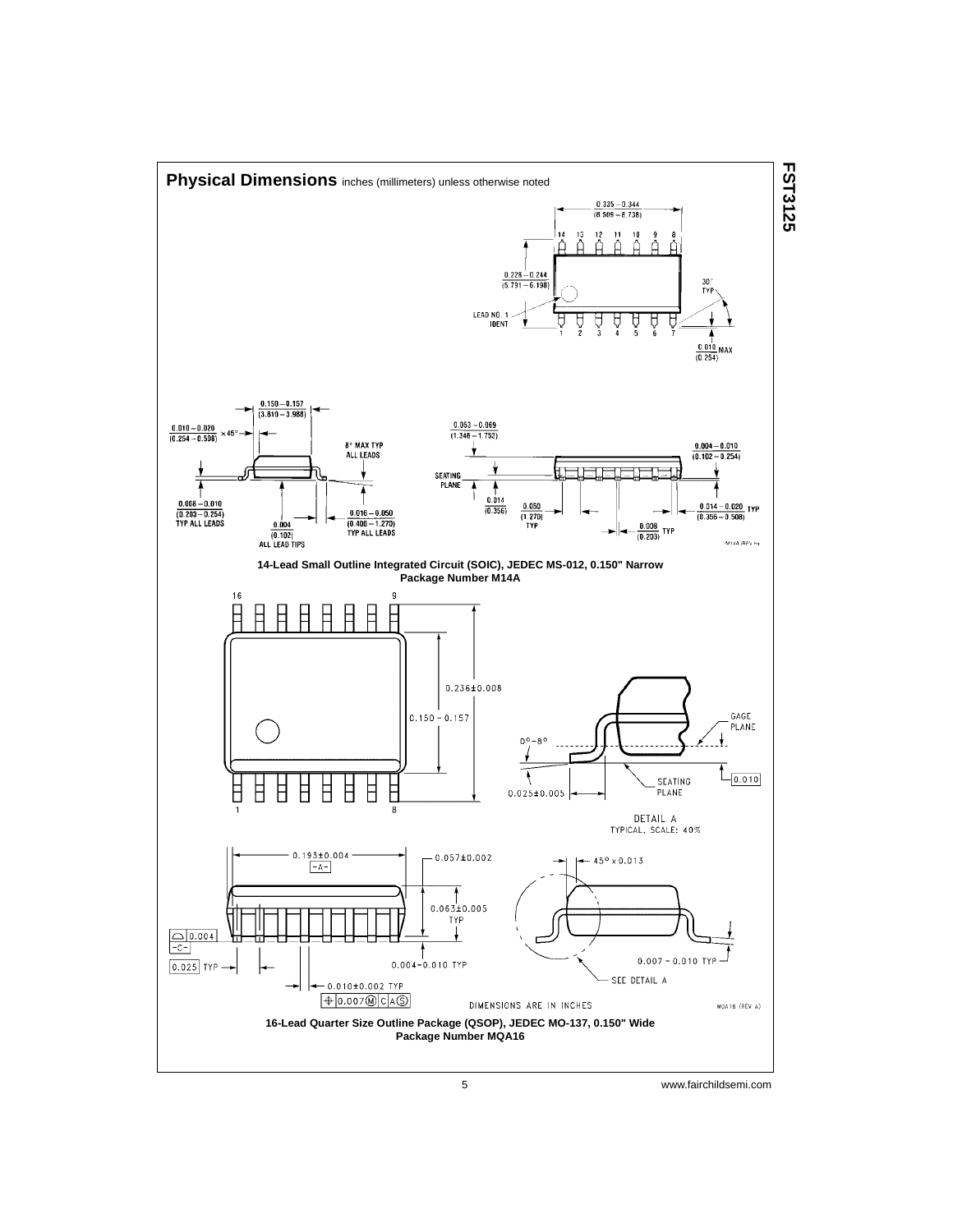

5 www.fairchildsemi.com